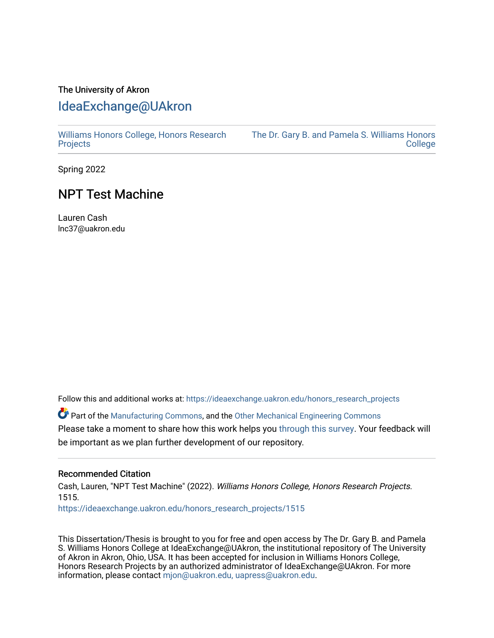## The University of Akron [IdeaExchange@UAkron](https://ideaexchange.uakron.edu/)

[Williams Honors College, Honors Research](https://ideaexchange.uakron.edu/honors_research_projects)  **[Projects](https://ideaexchange.uakron.edu/honors_research_projects)** 

[The Dr. Gary B. and Pamela S. Williams Honors](https://ideaexchange.uakron.edu/honorscollege_ideas)  **College** 

Spring 2022

## NPT Test Machine

Lauren Cash lnc37@uakron.edu

Follow this and additional works at: [https://ideaexchange.uakron.edu/honors\\_research\\_projects](https://ideaexchange.uakron.edu/honors_research_projects?utm_source=ideaexchange.uakron.edu%2Fhonors_research_projects%2F1515&utm_medium=PDF&utm_campaign=PDFCoverPages) 

Part of the [Manufacturing Commons,](http://network.bepress.com/hgg/discipline/301?utm_source=ideaexchange.uakron.edu%2Fhonors_research_projects%2F1515&utm_medium=PDF&utm_campaign=PDFCoverPages) and the [Other Mechanical Engineering Commons](http://network.bepress.com/hgg/discipline/304?utm_source=ideaexchange.uakron.edu%2Fhonors_research_projects%2F1515&utm_medium=PDF&utm_campaign=PDFCoverPages) Please take a moment to share how this work helps you [through this survey](http://survey.az1.qualtrics.com/SE/?SID=SV_eEVH54oiCbOw05f&URL=https://ideaexchange.uakron.edu/honors_research_projects/1515). Your feedback will be important as we plan further development of our repository.

#### Recommended Citation

Cash, Lauren, "NPT Test Machine" (2022). Williams Honors College, Honors Research Projects. 1515.

[https://ideaexchange.uakron.edu/honors\\_research\\_projects/1515](https://ideaexchange.uakron.edu/honors_research_projects/1515?utm_source=ideaexchange.uakron.edu%2Fhonors_research_projects%2F1515&utm_medium=PDF&utm_campaign=PDFCoverPages) 

This Dissertation/Thesis is brought to you for free and open access by The Dr. Gary B. and Pamela S. Williams Honors College at IdeaExchange@UAkron, the institutional repository of The University of Akron in Akron, Ohio, USA. It has been accepted for inclusion in Williams Honors College, Honors Research Projects by an authorized administrator of IdeaExchange@UAkron. For more information, please contact [mjon@uakron.edu, uapress@uakron.edu.](mailto:mjon@uakron.edu,%20uapress@uakron.edu)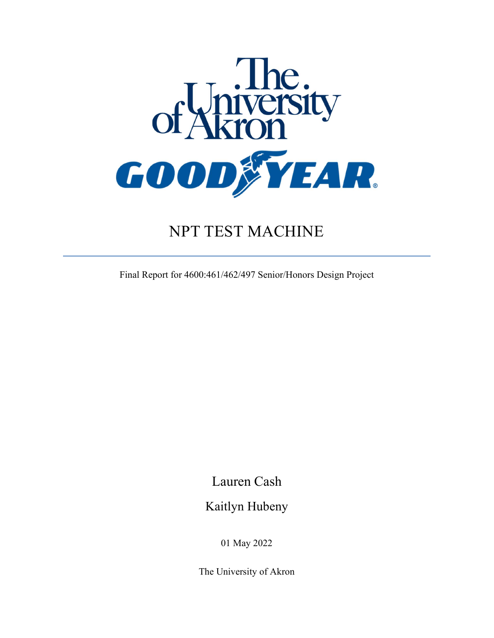

# NPT TEST MACHINE

Final Report for 4600:461/462/497 Senior/Honors Design Project

Lauren Cash

Kaitlyn Hubeny

01 May 2022

The University of Akron